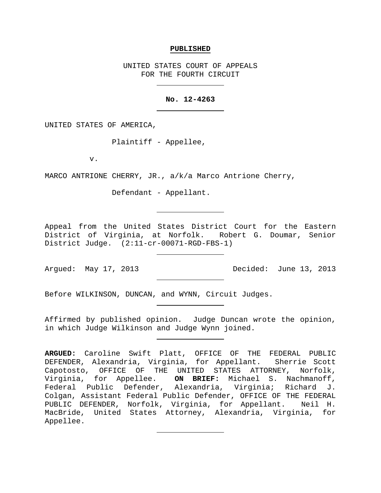#### **PUBLISHED**

UNITED STATES COURT OF APPEALS FOR THE FOURTH CIRCUIT

# **No. 12-4263**

UNITED STATES OF AMERICA,

Plaintiff - Appellee,

v.

MARCO ANTRIONE CHERRY, JR., a/k/a Marco Antrione Cherry,

Defendant - Appellant.

Appeal from the United States District Court for the Eastern District of Virginia, at Norfolk. Robert G. Doumar, Senior District Judge. (2:11-cr-00071-RGD-FBS-1)

Argued: May 17, 2013 Decided: June 13, 2013

Before WILKINSON, DUNCAN, and WYNN, Circuit Judges.

Affirmed by published opinion. Judge Duncan wrote the opinion, in which Judge Wilkinson and Judge Wynn joined.

**ARGUED:** Caroline Swift Platt, OFFICE OF THE FEDERAL PUBLIC DEFENDER, Alexandria, Virginia, for Appellant. Sherrie Scott Capotosto, OFFICE OF THE UNITED STATES ATTORNEY, Norfolk, Virginia, for Appellee. **ON BRIEF:** Michael S. Nachmanoff, Federal Public Defender, Alexandria, Virginia; Richard J. Colgan, Assistant Federal Public Defender, OFFICE OF THE FEDERAL PUBLIC DEFENDER, Norfolk, Virginia, for Appellant. Neil H. MacBride, United States Attorney, Alexandria, Virginia, for Appellee.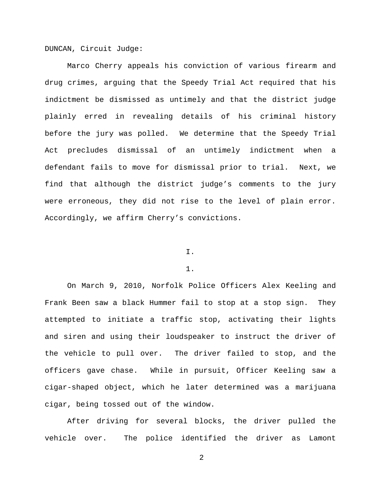DUNCAN, Circuit Judge:

Marco Cherry appeals his conviction of various firearm and drug crimes, arguing that the Speedy Trial Act required that his indictment be dismissed as untimely and that the district judge plainly erred in revealing details of his criminal history before the jury was polled. We determine that the Speedy Trial Act precludes dismissal of an untimely indictment when a defendant fails to move for dismissal prior to trial. Next, we find that although the district judge's comments to the jury were erroneous, they did not rise to the level of plain error. Accordingly, we affirm Cherry's convictions.

# I.

# 1.

On March 9, 2010, Norfolk Police Officers Alex Keeling and Frank Been saw a black Hummer fail to stop at a stop sign. They attempted to initiate a traffic stop, activating their lights and siren and using their loudspeaker to instruct the driver of the vehicle to pull over. The driver failed to stop, and the officers gave chase. While in pursuit, Officer Keeling saw a cigar-shaped object, which he later determined was a marijuana cigar, being tossed out of the window.

After driving for several blocks, the driver pulled the vehicle over. The police identified the driver as Lamont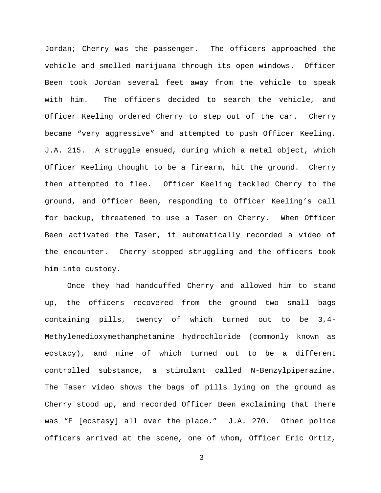Jordan; Cherry was the passenger. The officers approached the vehicle and smelled marijuana through its open windows. Officer Been took Jordan several feet away from the vehicle to speak with him. The officers decided to search the vehicle, and Officer Keeling ordered Cherry to step out of the car. Cherry became "very aggressive" and attempted to push Officer Keeling. J.A. 215. A struggle ensued, during which a metal object, which Officer Keeling thought to be a firearm, hit the ground. Cherry then attempted to flee. Officer Keeling tackled Cherry to the ground, and Officer Been, responding to Officer Keeling's call for backup, threatened to use a Taser on Cherry. When Officer Been activated the Taser, it automatically recorded a video of the encounter. Cherry stopped struggling and the officers took him into custody.

Once they had handcuffed Cherry and allowed him to stand up, the officers recovered from the ground two small bags containing pills, twenty of which turned out to be 3,4- Methylenedioxymethamphetamine hydrochloride (commonly known as ecstacy), and nine of which turned out to be a different controlled substance, a stimulant called N-Benzylpiperazine. The Taser video shows the bags of pills lying on the ground as Cherry stood up, and recorded Officer Been exclaiming that there was "E [ecstasy] all over the place." J.A. 270. Other police officers arrived at the scene, one of whom, Officer Eric Ortiz,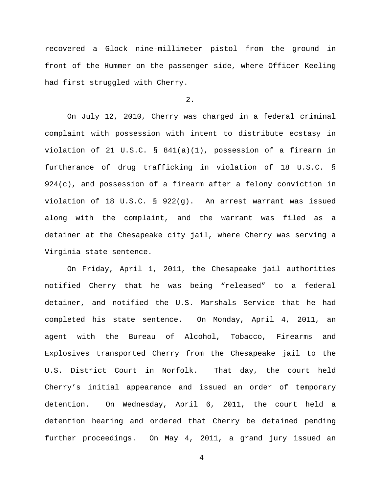recovered a Glock nine-millimeter pistol from the ground in front of the Hummer on the passenger side, where Officer Keeling had first struggled with Cherry.

2.

On July 12, 2010, Cherry was charged in a federal criminal complaint with possession with intent to distribute ecstasy in violation of 21 U.S.C. § 841(a)(1), possession of a firearm in furtherance of drug trafficking in violation of 18 U.S.C. § 924(c), and possession of a firearm after a felony conviction in violation of 18 U.S.C. § 922(g). An arrest warrant was issued along with the complaint, and the warrant was filed as a detainer at the Chesapeake city jail, where Cherry was serving a Virginia state sentence.

On Friday, April 1, 2011, the Chesapeake jail authorities notified Cherry that he was being "released" to a federal detainer, and notified the U.S. Marshals Service that he had completed his state sentence. On Monday, April 4, 2011, an agent with the Bureau of Alcohol, Tobacco, Firearms and Explosives transported Cherry from the Chesapeake jail to the U.S. District Court in Norfolk. That day, the court held Cherry's initial appearance and issued an order of temporary detention. On Wednesday, April 6, 2011, the court held a detention hearing and ordered that Cherry be detained pending further proceedings. On May 4, 2011, a grand jury issued an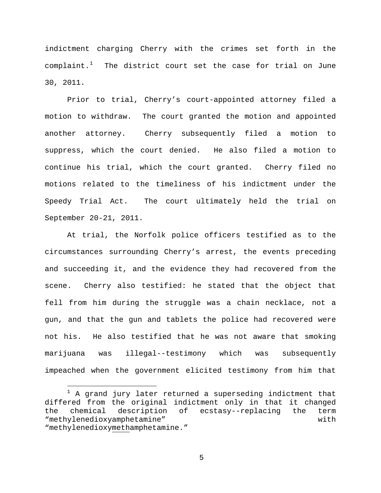indictment charging Cherry with the crimes set forth in the  ${\tt complaint.}^1$  ${\tt complaint.}^1$  The district court set the case for trial on June 30, 2011.

Prior to trial, Cherry's court-appointed attorney filed a motion to withdraw. The court granted the motion and appointed another attorney. Cherry subsequently filed a motion to suppress, which the court denied. He also filed a motion to continue his trial, which the court granted. Cherry filed no motions related to the timeliness of his indictment under the Speedy Trial Act. The court ultimately held the trial on September 20-21, 2011.

At trial, the Norfolk police officers testified as to the circumstances surrounding Cherry's arrest, the events preceding and succeeding it, and the evidence they had recovered from the scene. Cherry also testified: he stated that the object that fell from him during the struggle was a chain necklace, not a gun, and that the gun and tablets the police had recovered were not his. He also testified that he was not aware that smoking marijuana was illegal--testimony which was subsequently impeached when the government elicited testimony from him that

<span id="page-4-0"></span> $\overline{a}$ <sup>1</sup> A grand jury later returned a superseding indictment that differed from the original indictment only in that it changed<br>the chemical description of ecstasy--replacing the term description of ecstasy--replacing the term "methylenedioxyamphetamine" with "methylenedioxymethamphetamine."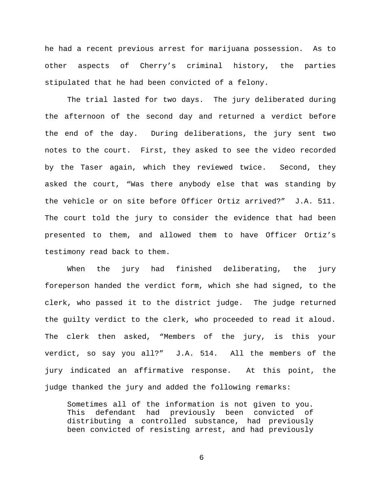he had a recent previous arrest for marijuana possession. As to other aspects of Cherry's criminal history, the parties stipulated that he had been convicted of a felony.

The trial lasted for two days. The jury deliberated during the afternoon of the second day and returned a verdict before the end of the day. During deliberations, the jury sent two notes to the court. First, they asked to see the video recorded by the Taser again, which they reviewed twice. Second, they asked the court, "Was there anybody else that was standing by the vehicle or on site before Officer Ortiz arrived?" J.A. 511. The court told the jury to consider the evidence that had been presented to them, and allowed them to have Officer Ortiz's testimony read back to them.

When the jury had finished deliberating, the jury foreperson handed the verdict form, which she had signed, to the clerk, who passed it to the district judge. The judge returned the guilty verdict to the clerk, who proceeded to read it aloud. The clerk then asked, "Members of the jury, is this your verdict, so say you all?" J.A. 514. All the members of the jury indicated an affirmative response. At this point, the judge thanked the jury and added the following remarks:

Sometimes all of the information is not given to you. This defendant had previously been convicted of distributing a controlled substance, had previously been convicted of resisting arrest, and had previously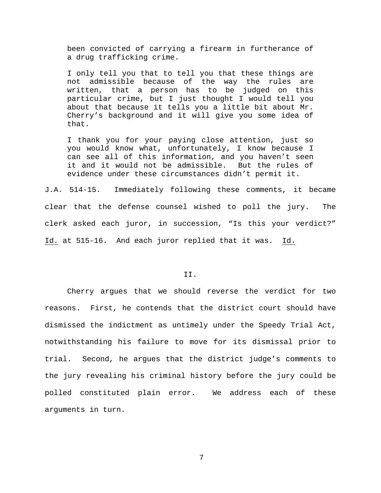been convicted of carrying a firearm in furtherance of a drug trafficking crime.

I only tell you that to tell you that these things are not admissible because of the way the rules are written, that a person has to be judged on this particular crime, but I just thought I would tell you about that because it tells you a little bit about Mr. Cherry's background and it will give you some idea of that.

I thank you for your paying close attention, just so you would know what, unfortunately, I know because I can see all of this information, and you haven't seen it and it would not be admissible. But the rules of evidence under these circumstances didn't permit it.

J.A. 514-15. Immediately following these comments, it became clear that the defense counsel wished to poll the jury. The clerk asked each juror, in succession, "Is this your verdict?" Id. at 515-16. And each juror replied that it was. Id.

## II.

Cherry argues that we should reverse the verdict for two reasons. First, he contends that the district court should have dismissed the indictment as untimely under the Speedy Trial Act, notwithstanding his failure to move for its dismissal prior to trial. Second, he argues that the district judge's comments to the jury revealing his criminal history before the jury could be polled constituted plain error. We address each of these arguments in turn.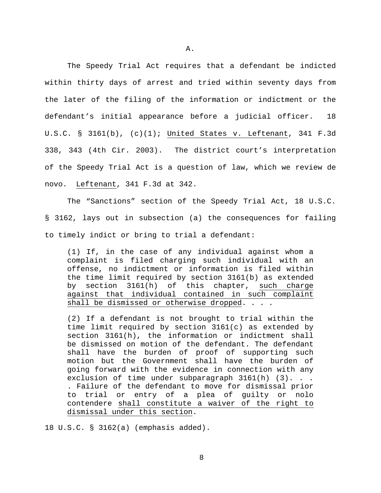The Speedy Trial Act requires that a defendant be indicted within thirty days of arrest and tried within seventy days from the later of the filing of the information or indictment or the defendant's initial appearance before a judicial officer. 18 U.S.C. § 3161(b), (c)(1); United States v. Leftenant, 341 F.3d 338, 343 (4th Cir. 2003). The district court's interpretation of the Speedy Trial Act is a question of law, which we review de novo. Leftenant, 341 F.3d at 342.

The "Sanctions" section of the Speedy Trial Act, 18 U.S.C. § 3162, lays out in subsection (a) the consequences for failing to timely indict or bring to trial a defendant:

(1) If, in the case of any individual against whom a complaint is filed charging such individual with an offense, no indictment or information is filed within the time limit required by section 3161(b) as extended<br>by section 3161(h) of this chapter, such charge  $section$  3161(h) of this chapter, such charge against that individual contained in such complaint shall be dismissed or otherwise dropped. . . .

(2) If a defendant is not brought to trial within the time limit required by section 3161(c) as extended by section 3161(h), the information or indictment shall be dismissed on motion of the defendant. The defendant shall have the burden of proof of supporting such motion but the Government shall have the burden of going forward with the evidence in connection with any exclusion of time under subparagraph 3161(h) (3). . . . Failure of the defendant to move for dismissal prior to trial or entry of a plea of guilty or nolo contendere shall constitute a waiver of the right to dismissal under this section.

18 U.S.C. § 3162(a) (emphasis added).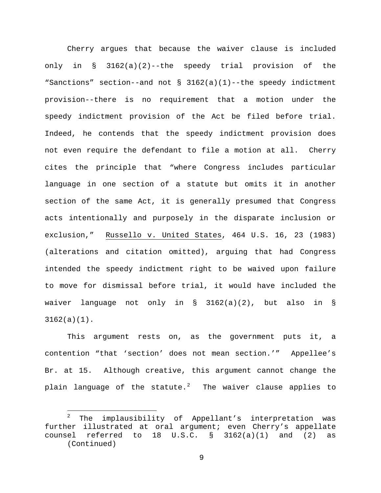Cherry argues that because the waiver clause is included only in § 3162(a)(2)--the speedy trial provision of the "Sanctions" section--and not § 3162(a)(1)--the speedy indictment provision--there is no requirement that a motion under the speedy indictment provision of the Act be filed before trial. Indeed, he contends that the speedy indictment provision does not even require the defendant to file a motion at all. Cherry cites the principle that "where Congress includes particular language in one section of a statute but omits it in another section of the same Act, it is generally presumed that Congress acts intentionally and purposely in the disparate inclusion or exclusion," Russello v. United States, 464 U.S. 16, 23 (1983) (alterations and citation omitted), arguing that had Congress intended the speedy indictment right to be waived upon failure to move for dismissal before trial, it would have included the waiver language not only in  $\S$  3162(a)(2), but also in  $\S$ 3162(a)(1).

This argument rests on, as the government puts it, a contention "that 'section' does not mean section.'" Appellee's Br. at 15. Although creative, this argument cannot change the plain language of the statute. $^2$  $^2$  The waiver clause applies to

<span id="page-8-0"></span> $\overline{a}$ <sup>2</sup> The implausibility of Appellant's interpretation was further illustrated at oral argument; even Cherry's appellate counsel referred to  $18$  U.S.C.  $\S$   $3162(a)(1)$  and  $(2)$  as (Continued)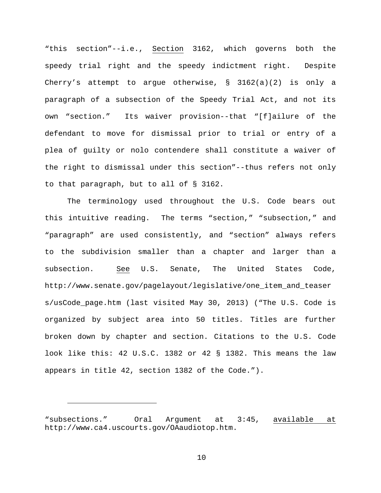"this section"--i.e., Section 3162, which governs both the speedy trial right and the speedy indictment right. Despite Cherry's attempt to argue otherwise, § 3162(a)(2) is only a paragraph of a subsection of the Speedy Trial Act, and not its own "section." Its waiver provision--that "[f]ailure of the defendant to move for dismissal prior to trial or entry of a plea of guilty or nolo contendere shall constitute a waiver of the right to dismissal under this section"--thus refers not only to that paragraph, but to all of § 3162.

The terminology used throughout the U.S. Code bears out this intuitive reading. The terms "section," "subsection," and "paragraph" are used consistently, and "section" always refers to the subdivision smaller than a chapter and larger than a subsection. See U.S. Senate, The United States Code, http://www.senate.gov/pagelayout/legislative/one\_item\_and\_teaser s/usCode\_page.htm (last visited May 30, 2013) ("The U.S. Code is organized by subject area into 50 titles. Titles are further broken down by chapter and section. Citations to the U.S. Code look like this: 42 U.S.C. 1382 or 42 § 1382. This means the law appears in title 42, section 1382 of the Code.").

Ĩ.

<sup>&</sup>quot;subsections." Oral Argument at 3:45, available at http://www.ca4.uscourts.gov/OAaudiotop.htm.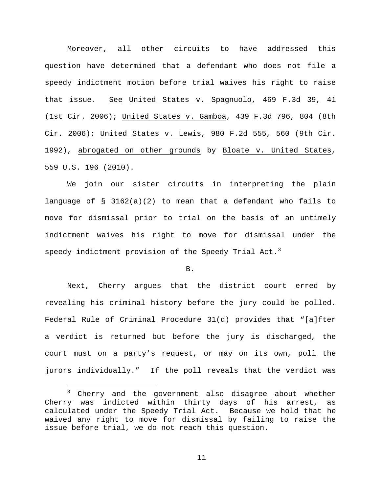Moreover, all other circuits to have addressed this question have determined that a defendant who does not file a speedy indictment motion before trial waives his right to raise that issue. See United States v. Spagnuolo, 469 F.3d 39, 41 (1st Cir. 2006); United States v. Gamboa, 439 F.3d 796, 804 (8th Cir. 2006); United States v. Lewis, 980 F.2d 555, 560 (9th Cir. 1992), abrogated on other grounds by Bloate v. United States, 559 U.S. 196 (2010).

We join our sister circuits in interpreting the plain language of § 3162(a)(2) to mean that a defendant who fails to move for dismissal prior to trial on the basis of an untimely indictment waives his right to move for dismissal under the speedy indictment provision of the Speedy Trial Act.<sup>[3](#page-10-0)</sup>

# B.

Next, Cherry argues that the district court erred by revealing his criminal history before the jury could be polled. Federal Rule of Criminal Procedure 31(d) provides that "[a]fter a verdict is returned but before the jury is discharged, the court must on a party's request, or may on its own, poll the jurors individually." If the poll reveals that the verdict was

 $\overline{a}$ 

<span id="page-10-0"></span><sup>&</sup>lt;sup>3</sup> Cherry and the government also disagree about whether Cherry was indicted within thirty days of his arrest, as calculated under the Speedy Trial Act. Because we hold that he waived any right to move for dismissal by failing to raise the issue before trial, we do not reach this question.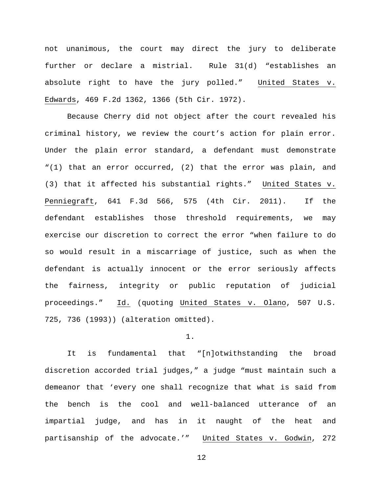not unanimous, the court may direct the jury to deliberate further or declare a mistrial. Rule 31(d) "establishes an absolute right to have the jury polled." United States v. Edwards, 469 F.2d 1362, 1366 (5th Cir. 1972).

Because Cherry did not object after the court revealed his criminal history, we review the court's action for plain error. Under the plain error standard, a defendant must demonstrate "(1) that an error occurred, (2) that the error was plain, and (3) that it affected his substantial rights." United States v. Penniegraft, 641 F.3d 566, 575 (4th Cir. 2011). If the defendant establishes those threshold requirements, we may exercise our discretion to correct the error "when failure to do so would result in a miscarriage of justice, such as when the defendant is actually innocent or the error seriously affects the fairness, integrity or public reputation of judicial proceedings." Id. (quoting United States v. Olano, 507 U.S. 725, 736 (1993)) (alteration omitted).

### 1.

It is fundamental that "[n]otwithstanding the broad discretion accorded trial judges," a judge "must maintain such a demeanor that 'every one shall recognize that what is said from the bench is the cool and well-balanced utterance of an impartial judge, and has in it naught of the heat and partisanship of the advocate.'" United States v. Godwin, 272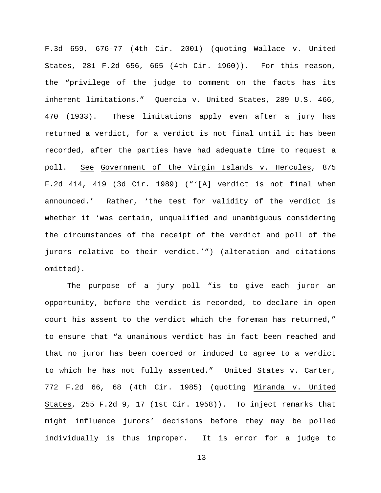F.3d 659, 676-77 (4th Cir. 2001) (quoting Wallace v. United States, 281 F.2d 656, 665 (4th Cir. 1960)). For this reason, the "privilege of the judge to comment on the facts has its inherent limitations." Quercia v. United States, 289 U.S. 466, 470 (1933). These limitations apply even after a jury has returned a verdict, for a verdict is not final until it has been recorded, after the parties have had adequate time to request a poll. See Government of the Virgin Islands v. Hercules, 875 F.2d 414, 419 (3d Cir. 1989) ("'[A] verdict is not final when announced.' Rather, 'the test for validity of the verdict is whether it 'was certain, unqualified and unambiguous considering the circumstances of the receipt of the verdict and poll of the jurors relative to their verdict.'") (alteration and citations omitted).

The purpose of a jury poll "is to give each juror an opportunity, before the verdict is recorded, to declare in open court his assent to the verdict which the foreman has returned," to ensure that "a unanimous verdict has in fact been reached and that no juror has been coerced or induced to agree to a verdict to which he has not fully assented." United States v. Carter, 772 F.2d 66, 68 (4th Cir. 1985) (quoting Miranda v. United States, 255 F.2d 9, 17 (1st Cir. 1958)). To inject remarks that might influence jurors' decisions before they may be polled individually is thus improper. It is error for a judge to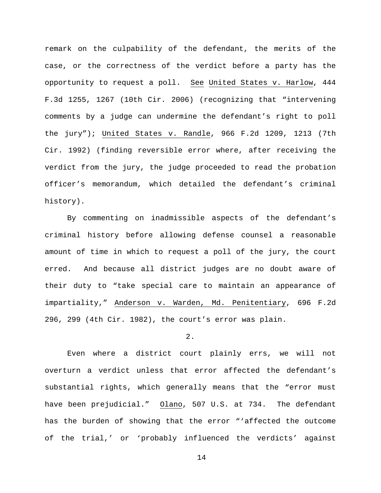remark on the culpability of the defendant, the merits of the case, or the correctness of the verdict before a party has the opportunity to request a poll. See United States v. Harlow, 444 F.3d 1255, 1267 (10th Cir. 2006) (recognizing that "intervening comments by a judge can undermine the defendant's right to poll the jury"); United States v. Randle, 966 F.2d 1209, 1213 (7th Cir. 1992) (finding reversible error where, after receiving the verdict from the jury, the judge proceeded to read the probation officer's memorandum, which detailed the defendant's criminal history).

By commenting on inadmissible aspects of the defendant's criminal history before allowing defense counsel a reasonable amount of time in which to request a poll of the jury, the court erred. And because all district judges are no doubt aware of their duty to "take special care to maintain an appearance of impartiality," Anderson v. Warden, Md. Penitentiary, 696 F.2d 296, 299 (4th Cir. 1982), the court's error was plain.

## 2.

Even where a district court plainly errs, we will not overturn a verdict unless that error affected the defendant's substantial rights, which generally means that the "error must have been prejudicial." Olano, 507 U.S. at 734. The defendant has the burden of showing that the error "'affected the outcome of the trial,' or 'probably influenced the verdicts' against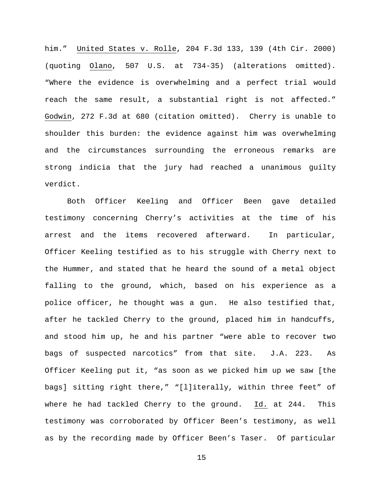him." United States v. Rolle, 204 F.3d 133, 139 (4th Cir. 2000) (quoting Olano, 507 U.S. at 734-35) (alterations omitted). "Where the evidence is overwhelming and a perfect trial would reach the same result, a substantial right is not affected." Godwin, 272 F.3d at 680 (citation omitted). Cherry is unable to shoulder this burden: the evidence against him was overwhelming and the circumstances surrounding the erroneous remarks are strong indicia that the jury had reached a unanimous guilty verdict.

Both Officer Keeling and Officer Been gave detailed testimony concerning Cherry's activities at the time of his arrest and the items recovered afterward. In particular, Officer Keeling testified as to his struggle with Cherry next to the Hummer, and stated that he heard the sound of a metal object falling to the ground, which, based on his experience as a police officer, he thought was a gun. He also testified that, after he tackled Cherry to the ground, placed him in handcuffs, and stood him up, he and his partner "were able to recover two bags of suspected narcotics" from that site. J.A. 223. As Officer Keeling put it, "as soon as we picked him up we saw [the bags] sitting right there," "[l]iterally, within three feet" of where he had tackled Cherry to the ground. Id. at 244. This testimony was corroborated by Officer Been's testimony, as well as by the recording made by Officer Been's Taser. Of particular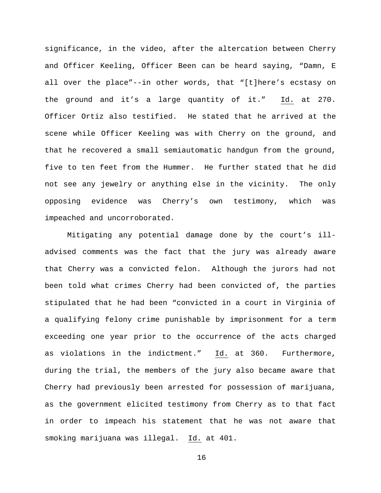significance, in the video, after the altercation between Cherry and Officer Keeling, Officer Been can be heard saying, "Damn, E all over the place"--in other words, that "[t]here's ecstasy on the ground and it's a large quantity of it." Id. at 270. Officer Ortiz also testified. He stated that he arrived at the scene while Officer Keeling was with Cherry on the ground, and that he recovered a small semiautomatic handgun from the ground, five to ten feet from the Hummer. He further stated that he did not see any jewelry or anything else in the vicinity. The only opposing evidence was Cherry's own testimony, which was impeached and uncorroborated.

Mitigating any potential damage done by the court's illadvised comments was the fact that the jury was already aware that Cherry was a convicted felon. Although the jurors had not been told what crimes Cherry had been convicted of, the parties stipulated that he had been "convicted in a court in Virginia of a qualifying felony crime punishable by imprisonment for a term exceeding one year prior to the occurrence of the acts charged as violations in the indictment." Id. at 360. Furthermore, during the trial, the members of the jury also became aware that Cherry had previously been arrested for possession of marijuana, as the government elicited testimony from Cherry as to that fact in order to impeach his statement that he was not aware that smoking marijuana was illegal. Id. at 401.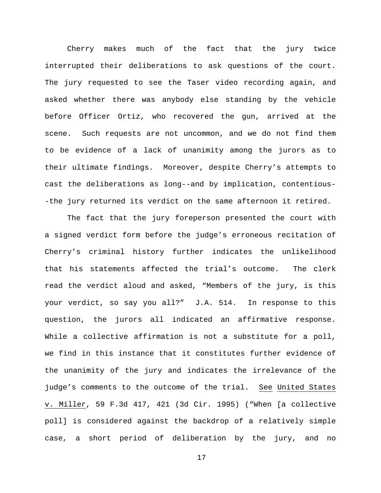Cherry makes much of the fact that the jury twice interrupted their deliberations to ask questions of the court. The jury requested to see the Taser video recording again, and asked whether there was anybody else standing by the vehicle before Officer Ortiz, who recovered the gun, arrived at the scene. Such requests are not uncommon, and we do not find them to be evidence of a lack of unanimity among the jurors as to their ultimate findings. Moreover, despite Cherry's attempts to cast the deliberations as long--and by implication, contentious- -the jury returned its verdict on the same afternoon it retired.

The fact that the jury foreperson presented the court with a signed verdict form before the judge's erroneous recitation of Cherry's criminal history further indicates the unlikelihood that his statements affected the trial's outcome. The clerk read the verdict aloud and asked, "Members of the jury, is this your verdict, so say you all?" J.A. 514. In response to this question, the jurors all indicated an affirmative response. While a collective affirmation is not a substitute for a poll, we find in this instance that it constitutes further evidence of the unanimity of the jury and indicates the irrelevance of the judge's comments to the outcome of the trial. See United States v. Miller, 59 F.3d 417, 421 (3d Cir. 1995) ("When [a collective poll] is considered against the backdrop of a relatively simple case, a short period of deliberation by the jury, and no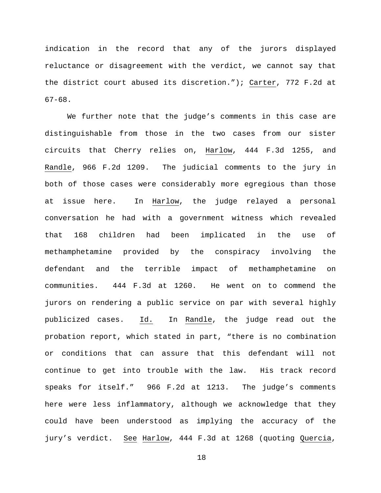indication in the record that any of the jurors displayed reluctance or disagreement with the verdict, we cannot say that the district court abused its discretion."); Carter, 772 F.2d at 67-68.

We further note that the judge's comments in this case are distinguishable from those in the two cases from our sister circuits that Cherry relies on, Harlow, 444 F.3d 1255, and Randle, 966 F.2d 1209. The judicial comments to the jury in both of those cases were considerably more egregious than those at issue here. In Harlow, the judge relayed a personal conversation he had with a government witness which revealed that 168 children had been implicated in the use of methamphetamine provided by the conspiracy involving the defendant and the terrible impact of methamphetamine on communities. 444 F.3d at 1260. He went on to commend the jurors on rendering a public service on par with several highly publicized cases. Id. In Randle, the judge read out the probation report, which stated in part, "there is no combination or conditions that can assure that this defendant will not continue to get into trouble with the law. His track record speaks for itself." 966 F.2d at 1213. The judge's comments here were less inflammatory, although we acknowledge that they could have been understood as implying the accuracy of the jury's verdict. See Harlow, 444 F.3d at 1268 (quoting Quercia,